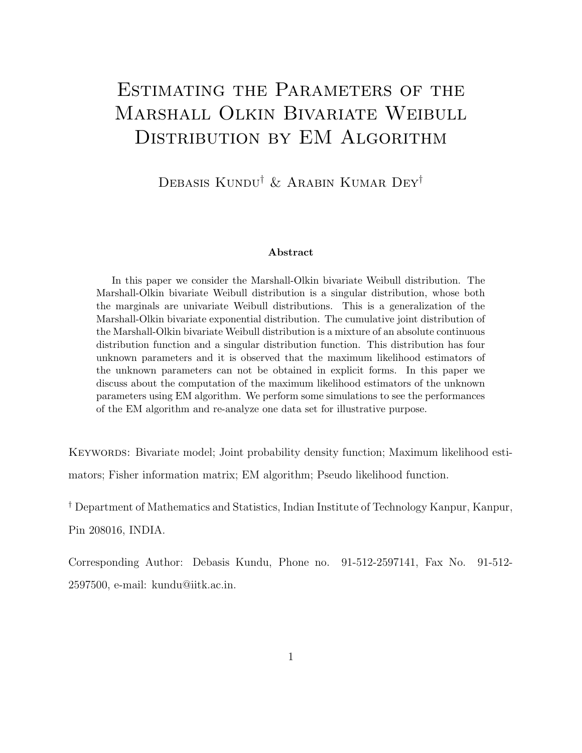# ESTIMATING THE PARAMETERS OF THE Marshall Olkin Bivariate Weibull DISTRIBUTION BY EM ALGORITHM

Debasis Kundu† & Arabin Kumar Dey†

#### Abstract

In this paper we consider the Marshall-Olkin bivariate Weibull distribution. The Marshall-Olkin bivariate Weibull distribution is a singular distribution, whose both the marginals are univariate Weibull distributions. This is a generalization of the Marshall-Olkin bivariate exponential distribution. The cumulative joint distribution of the Marshall-Olkin bivariate Weibull distribution is a mixture of an absolute continuous distribution function and a singular distribution function. This distribution has four unknown parameters and it is observed that the maximum likelihood estimators of the unknown parameters can not be obtained in explicit forms. In this paper we discuss about the computation of the maximum likelihood estimators of the unknown parameters using EM algorithm. We perform some simulations to see the performances of the EM algorithm and re-analyze one data set for illustrative purpose.

KEYWORDS: Bivariate model; Joint probability density function; Maximum likelihood estimators; Fisher information matrix; EM algorithm; Pseudo likelihood function.

† Department of Mathematics and Statistics, Indian Institute of Technology Kanpur, Kanpur, Pin 208016, INDIA.

Corresponding Author: Debasis Kundu, Phone no. 91-512-2597141, Fax No. 91-512- 2597500, e-mail: kundu@iitk.ac.in.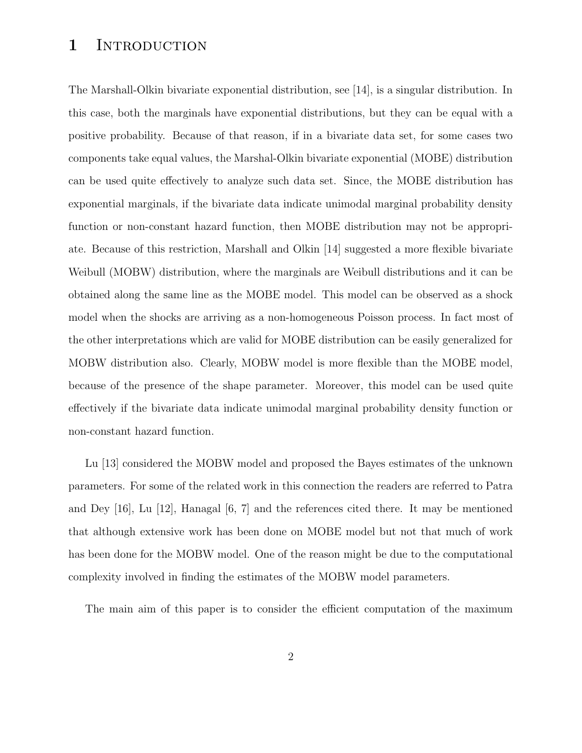### 1 INTRODUCTION

The Marshall-Olkin bivariate exponential distribution, see [14], is a singular distribution. In this case, both the marginals have exponential distributions, but they can be equal with a positive probability. Because of that reason, if in a bivariate data set, for some cases two components take equal values, the Marshal-Olkin bivariate exponential (MOBE) distribution can be used quite effectively to analyze such data set. Since, the MOBE distribution has exponential marginals, if the bivariate data indicate unimodal marginal probability density function or non-constant hazard function, then MOBE distribution may not be appropriate. Because of this restriction, Marshall and Olkin [14] suggested a more flexible bivariate Weibull (MOBW) distribution, where the marginals are Weibull distributions and it can be obtained along the same line as the MOBE model. This model can be observed as a shock model when the shocks are arriving as a non-homogeneous Poisson process. In fact most of the other interpretations which are valid for MOBE distribution can be easily generalized for MOBW distribution also. Clearly, MOBW model is more flexible than the MOBE model, because of the presence of the shape parameter. Moreover, this model can be used quite effectively if the bivariate data indicate unimodal marginal probability density function or non-constant hazard function.

Lu [13] considered the MOBW model and proposed the Bayes estimates of the unknown parameters. For some of the related work in this connection the readers are referred to Patra and Dey [16], Lu [12], Hanagal [6, 7] and the references cited there. It may be mentioned that although extensive work has been done on MOBE model but not that much of work has been done for the MOBW model. One of the reason might be due to the computational complexity involved in finding the estimates of the MOBW model parameters.

The main aim of this paper is to consider the efficient computation of the maximum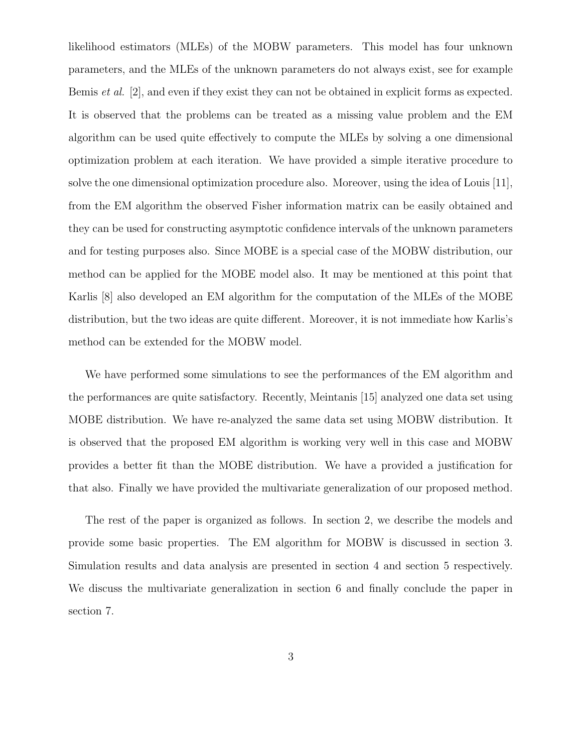likelihood estimators (MLEs) of the MOBW parameters. This model has four unknown parameters, and the MLEs of the unknown parameters do not always exist, see for example Bemis et al. [2], and even if they exist they can not be obtained in explicit forms as expected. It is observed that the problems can be treated as a missing value problem and the EM algorithm can be used quite effectively to compute the MLEs by solving a one dimensional optimization problem at each iteration. We have provided a simple iterative procedure to solve the one dimensional optimization procedure also. Moreover, using the idea of Louis [11], from the EM algorithm the observed Fisher information matrix can be easily obtained and they can be used for constructing asymptotic confidence intervals of the unknown parameters and for testing purposes also. Since MOBE is a special case of the MOBW distribution, our method can be applied for the MOBE model also. It may be mentioned at this point that Karlis [8] also developed an EM algorithm for the computation of the MLEs of the MOBE distribution, but the two ideas are quite different. Moreover, it is not immediate how Karlis's method can be extended for the MOBW model.

We have performed some simulations to see the performances of the EM algorithm and the performances are quite satisfactory. Recently, Meintanis [15] analyzed one data set using MOBE distribution. We have re-analyzed the same data set using MOBW distribution. It is observed that the proposed EM algorithm is working very well in this case and MOBW provides a better fit than the MOBE distribution. We have a provided a justification for that also. Finally we have provided the multivariate generalization of our proposed method.

The rest of the paper is organized as follows. In section 2, we describe the models and provide some basic properties. The EM algorithm for MOBW is discussed in section 3. Simulation results and data analysis are presented in section 4 and section 5 respectively. We discuss the multivariate generalization in section 6 and finally conclude the paper in section 7.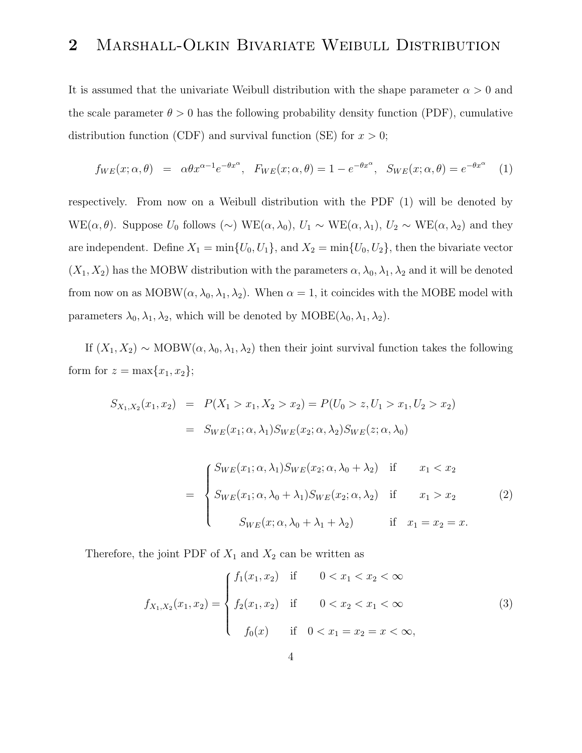### 2 MARSHALL-OLKIN BIVARIATE WEIBULL DISTRIBUTION

It is assumed that the univariate Weibull distribution with the shape parameter  $\alpha > 0$  and the scale parameter  $\theta > 0$  has the following probability density function (PDF), cumulative distribution function (CDF) and survival function (SE) for  $x > 0$ ;

$$
f_{WE}(x; \alpha, \theta) = \alpha \theta x^{\alpha - 1} e^{-\theta x^{\alpha}}, \quad F_{WE}(x; \alpha, \theta) = 1 - e^{-\theta x^{\alpha}}, \quad S_{WE}(x; \alpha, \theta) = e^{-\theta x^{\alpha}} \tag{1}
$$

respectively. From now on a Weibull distribution with the PDF (1) will be denoted by WE( $\alpha, \theta$ ). Suppose  $U_0$  follows (∼) WE( $\alpha, \lambda_0$ ),  $U_1 \sim \text{WE}(\alpha, \lambda_1)$ ,  $U_2 \sim \text{WE}(\alpha, \lambda_2)$  and they are independent. Define  $X_1 = \min\{U_0, U_1\}$ , and  $X_2 = \min\{U_0, U_2\}$ , then the bivariate vector  $(X_1, X_2)$  has the MOBW distribution with the parameters  $\alpha, \lambda_0, \lambda_1, \lambda_2$  and it will be denoted from now on as MOBW( $\alpha$ ,  $\lambda_0$ ,  $\lambda_1$ ,  $\lambda_2$ ). When  $\alpha = 1$ , it coincides with the MOBE model with parameters  $\lambda_0, \lambda_1, \lambda_2$ , which will be denoted by MOBE( $\lambda_0, \lambda_1, \lambda_2$ ).

If  $(X_1, X_2) \sim \text{MOBW}(\alpha, \lambda_0, \lambda_1, \lambda_2)$  then their joint survival function takes the following form for  $z = \max\{x_1, x_2\};$ 

$$
S_{X_1, X_2}(x_1, x_2) = P(X_1 > x_1, X_2 > x_2) = P(U_0 > z, U_1 > x_1, U_2 > x_2)
$$
  
\n
$$
= S_{WE}(x_1; \alpha, \lambda_1) S_{WE}(x_2; \alpha, \lambda_2) S_{WE}(z; \alpha, \lambda_0)
$$
  
\n
$$
= \begin{cases} S_{WE}(x_1; \alpha, \lambda_1) S_{WE}(x_2; \alpha, \lambda_0 + \lambda_2) & \text{if } x_1 < x_2 \\ S_{WE}(x_1; \alpha, \lambda_0 + \lambda_1) S_{WE}(x_2; \alpha, \lambda_2) & \text{if } x_1 > x_2 \\ S_{WE}(x; \alpha, \lambda_0 + \lambda_1 + \lambda_2) & \text{if } x_1 = x_2 = x. \end{cases}
$$
(2)

Therefore, the joint PDF of  $X_1$  and  $X_2$  can be written as

$$
f_{X_1,X_2}(x_1,x_2) = \begin{cases} f_1(x_1,x_2) & \text{if } 0 < x_1 < x_2 < \infty \\ f_2(x_1,x_2) & \text{if } 0 < x_2 < x_1 < \infty \\ f_0(x) & \text{if } 0 < x_1 = x_2 = x < \infty, \end{cases}
$$
 (3)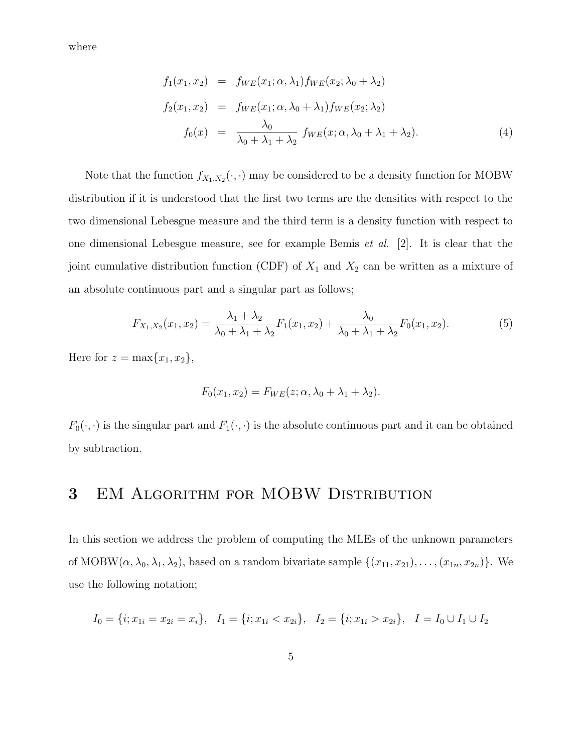where

$$
f_1(x_1, x_2) = f_{WE}(x_1; \alpha, \lambda_1) f_{WE}(x_2; \lambda_0 + \lambda_2)
$$
  
\n
$$
f_2(x_1, x_2) = f_{WE}(x_1; \alpha, \lambda_0 + \lambda_1) f_{WE}(x_2; \lambda_2)
$$
  
\n
$$
f_0(x) = \frac{\lambda_0}{\lambda_0 + \lambda_1 + \lambda_2} f_{WE}(x; \alpha, \lambda_0 + \lambda_1 + \lambda_2).
$$
\n(4)

Note that the function  $f_{X_1,X_2}(\cdot,\cdot)$  may be considered to be a density function for MOBW distribution if it is understood that the first two terms are the densities with respect to the two dimensional Lebesgue measure and the third term is a density function with respect to one dimensional Lebesgue measure, see for example Bemis et al. [2]. It is clear that the joint cumulative distribution function (CDF) of  $X_1$  and  $X_2$  can be written as a mixture of an absolute continuous part and a singular part as follows;

$$
F_{X_1,X_2}(x_1,x_2) = \frac{\lambda_1 + \lambda_2}{\lambda_0 + \lambda_1 + \lambda_2} F_1(x_1,x_2) + \frac{\lambda_0}{\lambda_0 + \lambda_1 + \lambda_2} F_0(x_1,x_2).
$$
 (5)

Here for  $z = \max\{x_1, x_2\},\$ 

$$
F_0(x_1, x_2) = F_{WE}(z; \alpha, \lambda_0 + \lambda_1 + \lambda_2).
$$

 $F_0(\cdot, \cdot)$  is the singular part and  $F_1(\cdot, \cdot)$  is the absolute continuous part and it can be obtained by subtraction.

### 3 EM Algorithm for MOBW Distribution

In this section we address the problem of computing the MLEs of the unknown parameters of MOBW( $\alpha, \lambda_0, \lambda_1, \lambda_2$ ), based on a random bivariate sample  $\{(x_{11}, x_{21}), \ldots, (x_{1n}, x_{2n})\}$ . We use the following notation;

$$
I_0 = \{i; x_{1i} = x_{2i} = x_i\}, \quad I_1 = \{i; x_{1i} < x_{2i}\}, \quad I_2 = \{i; x_{1i} > x_{2i}\}, \quad I = I_0 \cup I_1 \cup I_2
$$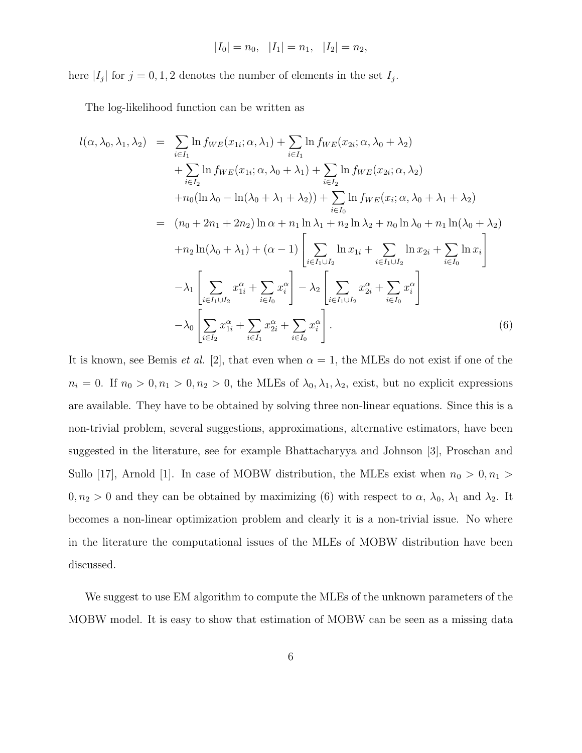$$
|I_0| = n_0, \quad |I_1| = n_1, \quad |I_2| = n_2,
$$

here  $|I_j|$  for  $j = 0, 1, 2$  denotes the number of elements in the set  $I_j$ .

The log-likelihood function can be written as

$$
l(\alpha, \lambda_0, \lambda_1, \lambda_2) = \sum_{i \in I_1} \ln f_{WE}(x_{1i}; \alpha, \lambda_1) + \sum_{i \in I_1} \ln f_{WE}(x_{2i}; \alpha, \lambda_0 + \lambda_2)
$$
  
+ 
$$
\sum_{i \in I_2} \ln f_{WE}(x_{1i}; \alpha, \lambda_0 + \lambda_1) + \sum_{i \in I_2} \ln f_{WE}(x_{2i}; \alpha, \lambda_2)
$$
  
+ 
$$
n_0(\ln \lambda_0 - \ln(\lambda_0 + \lambda_1 + \lambda_2)) + \sum_{i \in I_0} \ln f_{WE}(x_i; \alpha, \lambda_0 + \lambda_1 + \lambda_2)
$$
  
= 
$$
(n_0 + 2n_1 + 2n_2) \ln \alpha + n_1 \ln \lambda_1 + n_2 \ln \lambda_2 + n_0 \ln \lambda_0 + n_1 \ln(\lambda_0 + \lambda_2)
$$
  
+ 
$$
n_2 \ln(\lambda_0 + \lambda_1) + (\alpha - 1) \left[ \sum_{i \in I_1 \cup I_2} \ln x_{1i} + \sum_{i \in I_1 \cup I_2} \ln x_{2i} + \sum_{i \in I_0} \ln x_i \right]
$$
  
- 
$$
\lambda_1 \left[ \sum_{i \in I_1 \cup I_2} x_{1i}^{\alpha} + \sum_{i \in I_0} x_{i}^{\alpha} \right] - \lambda_2 \left[ \sum_{i \in I_1 \cup I_2} x_{2i}^{\alpha} + \sum_{i \in I_0} x_{i}^{\alpha} \right]
$$
  
- 
$$
\lambda_0 \left[ \sum_{i \in I_2} x_{1i}^{\alpha} + \sum_{i \in I_1} x_{2i}^{\alpha} + \sum_{i \in I_0} x_{i}^{\alpha} \right].
$$
 (6)

It is known, see Bemis *et al.* [2], that even when  $\alpha = 1$ , the MLEs do not exist if one of the  $n_i = 0$ . If  $n_0 > 0, n_1 > 0, n_2 > 0$ , the MLEs of  $\lambda_0, \lambda_1, \lambda_2$ , exist, but no explicit expressions are available. They have to be obtained by solving three non-linear equations. Since this is a non-trivial problem, several suggestions, approximations, alternative estimators, have been suggested in the literature, see for example Bhattacharyya and Johnson [3], Proschan and Sullo [17], Arnold [1]. In case of MOBW distribution, the MLEs exist when  $n_0 > 0, n_1 >$  $0, n_2 > 0$  and they can be obtained by maximizing (6) with respect to  $\alpha$ ,  $\lambda_0$ ,  $\lambda_1$  and  $\lambda_2$ . It becomes a non-linear optimization problem and clearly it is a non-trivial issue. No where in the literature the computational issues of the MLEs of MOBW distribution have been discussed.

We suggest to use EM algorithm to compute the MLEs of the unknown parameters of the MOBW model. It is easy to show that estimation of MOBW can be seen as a missing data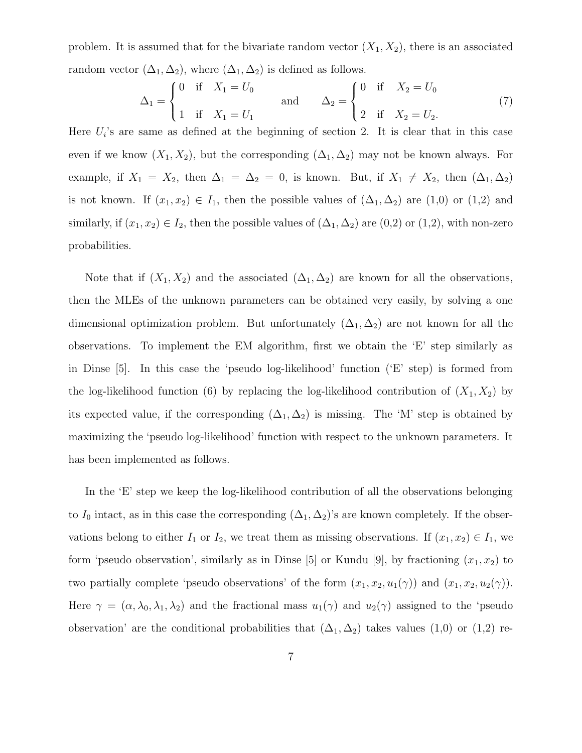problem. It is assumed that for the bivariate random vector  $(X_1, X_2)$ , there is an associated random vector  $(\Delta_1, \Delta_2)$ , where  $(\Delta_1, \Delta_2)$  is defined as follows.

$$
\Delta_1 = \begin{cases} 0 & \text{if } X_1 = U_0 \\ 1 & \text{if } X_1 = U_1 \end{cases} \quad \text{and} \quad \Delta_2 = \begin{cases} 0 & \text{if } X_2 = U_0 \\ 2 & \text{if } X_2 = U_2. \end{cases} \tag{7}
$$

Here  $U_i$ 's are same as defined at the beginning of section 2. It is clear that in this case even if we know  $(X_1, X_2)$ , but the corresponding  $(\Delta_1, \Delta_2)$  may not be known always. For example, if  $X_1 = X_2$ , then  $\Delta_1 = \Delta_2 = 0$ , is known. But, if  $X_1 \neq X_2$ , then  $(\Delta_1, \Delta_2)$ is not known. If  $(x_1, x_2) \in I_1$ , then the possible values of  $(\Delta_1, \Delta_2)$  are  $(1,0)$  or  $(1,2)$  and similarly, if  $(x_1, x_2) \in I_2$ , then the possible values of  $(\Delta_1, \Delta_2)$  are  $(0,2)$  or  $(1,2)$ , with non-zero probabilities.

Note that if  $(X_1, X_2)$  and the associated  $(\Delta_1, \Delta_2)$  are known for all the observations, then the MLEs of the unknown parameters can be obtained very easily, by solving a one dimensional optimization problem. But unfortunately  $(\Delta_1, \Delta_2)$  are not known for all the observations. To implement the EM algorithm, first we obtain the 'E' step similarly as in Dinse [5]. In this case the 'pseudo log-likelihood' function ('E' step) is formed from the log-likelihood function (6) by replacing the log-likelihood contribution of  $(X_1, X_2)$  by its expected value, if the corresponding  $(\Delta_1, \Delta_2)$  is missing. The 'M' step is obtained by maximizing the 'pseudo log-likelihood' function with respect to the unknown parameters. It has been implemented as follows.

In the 'E' step we keep the log-likelihood contribution of all the observations belonging to  $I_0$  intact, as in this case the corresponding  $(\Delta_1, \Delta_2)$ 's are known completely. If the observations belong to either  $I_1$  or  $I_2$ , we treat them as missing observations. If  $(x_1, x_2) \in I_1$ , we form 'pseudo observation', similarly as in Dinse [5] or Kundu [9], by fractioning  $(x_1, x_2)$  to two partially complete 'pseudo observations' of the form  $(x_1, x_2, u_1(\gamma))$  and  $(x_1, x_2, u_2(\gamma))$ . Here  $\gamma = (\alpha, \lambda_0, \lambda_1, \lambda_2)$  and the fractional mass  $u_1(\gamma)$  and  $u_2(\gamma)$  assigned to the 'pseudo observation' are the conditional probabilities that  $(\Delta_1, \Delta_2)$  takes values  $(1,0)$  or  $(1,2)$  re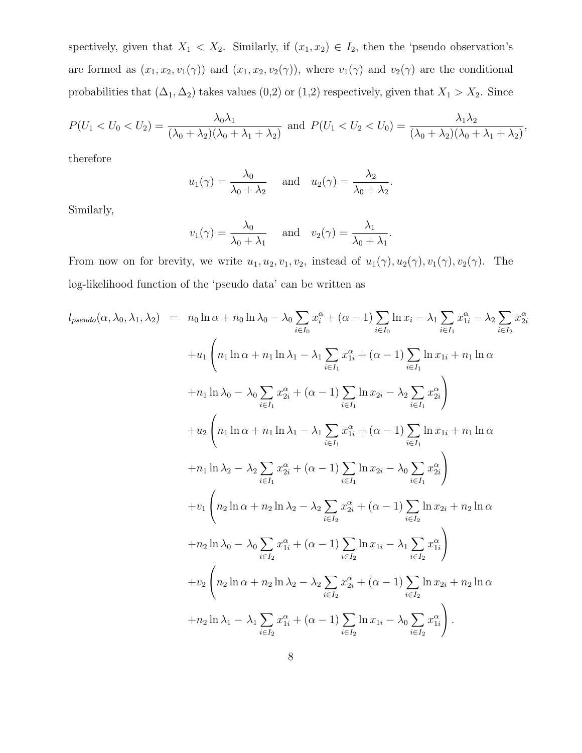spectively, given that  $X_1 < X_2$ . Similarly, if  $(x_1, x_2) \in I_2$ , then the 'pseudo observation's are formed as  $(x_1, x_2, v_1(\gamma))$  and  $(x_1, x_2, v_2(\gamma))$ , where  $v_1(\gamma)$  and  $v_2(\gamma)$  are the conditional probabilities that  $(\Delta_1, \Delta_2)$  takes values  $(0,2)$  or  $(1,2)$  respectively, given that  $X_1 > X_2$ . Since

$$
P(U_1 < U_0 < U_2) = \frac{\lambda_0 \lambda_1}{(\lambda_0 + \lambda_2)(\lambda_0 + \lambda_1 + \lambda_2)} \text{ and } P(U_1 < U_2 < U_0) = \frac{\lambda_1 \lambda_2}{(\lambda_0 + \lambda_2)(\lambda_0 + \lambda_1 + \lambda_2)},
$$

therefore

$$
u_1(\gamma) = \frac{\lambda_0}{\lambda_0 + \lambda_2}
$$
 and  $u_2(\gamma) = \frac{\lambda_2}{\lambda_0 + \lambda_2}$ .

Similarly,

$$
v_1(\gamma) = \frac{\lambda_0}{\lambda_0 + \lambda_1}
$$
 and  $v_2(\gamma) = \frac{\lambda_1}{\lambda_0 + \lambda_1}$ .

From now on for brevity, we write  $u_1, u_2, v_1, v_2$ , instead of  $u_1(\gamma), u_2(\gamma), v_1(\gamma), v_2(\gamma)$ . The log-likelihood function of the 'pseudo data' can be written as

$$
l_{pseudo}(\alpha, \lambda_0, \lambda_1, \lambda_2) = n_0 \ln \alpha + n_0 \ln \lambda_0 - \lambda_0 \sum_{i \in I_0} x_i^{\alpha} + (\alpha - 1) \sum_{i \in I_0} \ln x_i - \lambda_1 \sum_{i \in I_1} x_{1i}^{\alpha} - \lambda_2 \sum_{i \in I_2} x_{2i}^{\alpha}
$$
  
+ 
$$
+ u_1 \left( n_1 \ln \alpha + n_1 \ln \lambda_1 - \lambda_1 \sum_{i \in I_1} x_{1i}^{\alpha} + (\alpha - 1) \sum_{i \in I_1} \ln x_{1i} + n_1 \ln \alpha \right.
$$
  
+ 
$$
+ n_1 \ln \lambda_0 - \lambda_0 \sum_{i \in I_1} x_{2i}^{\alpha} + (\alpha - 1) \sum_{i \in I_1} \ln x_{2i} - \lambda_2 \sum_{i \in I_1} x_{2i}^{\alpha} \right)
$$
  
+ 
$$
+ u_2 \left( n_1 \ln \alpha + n_1 \ln \lambda_1 - \lambda_1 \sum_{i \in I_1} x_{1i}^{\alpha} + (\alpha - 1) \sum_{i \in I_1} \ln x_{1i} + n_1 \ln \alpha \right.
$$
  
+ 
$$
+ n_1 \ln \lambda_2 - \lambda_2 \sum_{i \in I_1} x_{2i}^{\alpha} + (\alpha - 1) \sum_{i \in I_1} \ln x_{2i} - \lambda_0 \sum_{i \in I_2} x_{2i}^{\alpha} \right)
$$
  
+ 
$$
+ v_1 \left( n_2 \ln \alpha + n_2 \ln \lambda_2 - \lambda_2 \sum_{i \in I_2} x_{2i}^{\alpha} + (\alpha - 1) \sum_{i \in I_2} \ln x_{2i} + n_2 \ln \alpha \right.
$$
  
+ 
$$
+ n_2 \ln \lambda_0 - \lambda_0 \sum_{i \in I_2} x_{1i}^{\alpha} + (\alpha - 1) \sum_{i \in I_2} \ln x_{1i} - \lambda_1 \sum_{i \in I_2} x_{1i}^{\alpha} \right)
$$
  
+ 
$$
+ v_2 \left( n_2 \ln \alpha + n_2 \ln \lambda_2 - \lambda_2 \sum_{i \in I_2} x_{2i}^{\alpha} + (\alpha - 1)
$$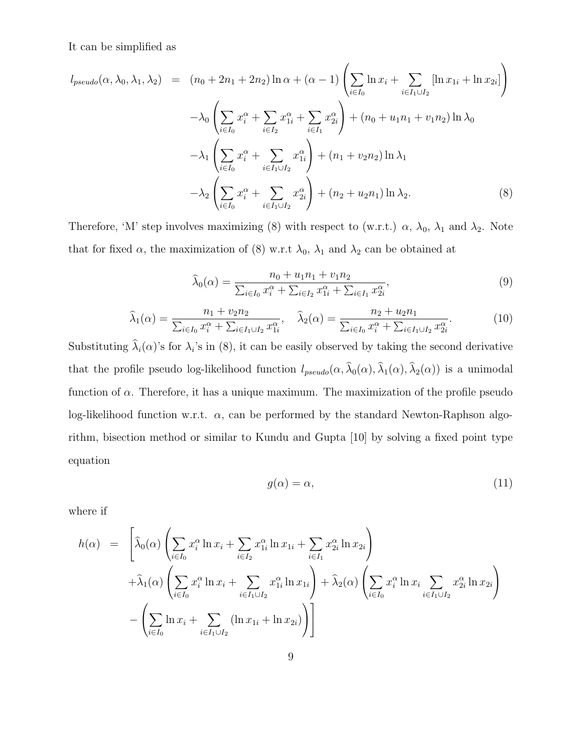It can be simplified as

$$
l_{pseudo}(\alpha, \lambda_0, \lambda_1, \lambda_2) = (n_0 + 2n_1 + 2n_2) \ln \alpha + (\alpha - 1) \left( \sum_{i \in I_0} \ln x_i + \sum_{i \in I_1 \cup I_2} [\ln x_{1i} + \ln x_{2i}] \right)
$$
  

$$
- \lambda_0 \left( \sum_{i \in I_0} x_i^{\alpha} + \sum_{i \in I_2} x_{1i}^{\alpha} + \sum_{i \in I_1} x_{2i}^{\alpha} \right) + (n_0 + u_1 n_1 + v_1 n_2) \ln \lambda_0
$$
  

$$
- \lambda_1 \left( \sum_{i \in I_0} x_i^{\alpha} + \sum_{i \in I_1 \cup I_2} x_{1i}^{\alpha} \right) + (n_1 + v_2 n_2) \ln \lambda_1
$$
  

$$
- \lambda_2 \left( \sum_{i \in I_0} x_i^{\alpha} + \sum_{i \in I_1 \cup I_2} x_{2i}^{\alpha} \right) + (n_2 + u_2 n_1) \ln \lambda_2.
$$
 (8)

Therefore, 'M' step involves maximizing (8) with respect to (w.r.t.)  $\alpha$ ,  $\lambda_0$ ,  $\lambda_1$  and  $\lambda_2$ . Note that for fixed  $\alpha$ , the maximization of (8) w.r.t  $\lambda_0$ ,  $\lambda_1$  and  $\lambda_2$  can be obtained at

$$
\widehat{\lambda}_0(\alpha) = \frac{n_0 + u_1 n_1 + v_1 n_2}{\sum_{i \in I_0} x_i^{\alpha} + \sum_{i \in I_2} x_{1i}^{\alpha} + \sum_{i \in I_1} x_{2i}^{\alpha}},\tag{9}
$$

$$
\widehat{\lambda}_{1}(\alpha) = \frac{n_{1} + v_{2}n_{2}}{\sum_{i \in I_{0}} x_{i}^{\alpha} + \sum_{i \in I_{1} \cup I_{2}} x_{1i}^{\alpha}}, \quad \widehat{\lambda}_{2}(\alpha) = \frac{n_{2} + u_{2}n_{1}}{\sum_{i \in I_{0}} x_{i}^{\alpha} + \sum_{i \in I_{1} \cup I_{2}} x_{2i}^{\alpha}}.
$$
\n(10)

Substituting  $\lambda_i(\alpha)$ 's for  $\lambda_i$ 's in (8), it can be easily observed by taking the second derivative that the profile pseudo log-likelihood function  $l_{pseudo}(\alpha, \lambda_0(\alpha), \lambda_1(\alpha), \lambda_2(\alpha))$  is a unimodal function of  $\alpha$ . Therefore, it has a unique maximum. The maximization of the profile pseudo log-likelihood function w.r.t.  $\alpha$ , can be performed by the standard Newton-Raphson algorithm, bisection method or similar to Kundu and Gupta [10] by solving a fixed point type equation

$$
g(\alpha) = \alpha,\tag{11}
$$

where if

$$
h(\alpha) = \left[ \hat{\lambda}_0(\alpha) \left( \sum_{i \in I_0} x_i^{\alpha} \ln x_i + \sum_{i \in I_2} x_{1i}^{\alpha} \ln x_{1i} + \sum_{i \in I_1} x_{2i}^{\alpha} \ln x_{2i} \right) + \hat{\lambda}_1(\alpha) \left( \sum_{i \in I_0} x_i^{\alpha} \ln x_i + \sum_{i \in I_1 \cup I_2} x_{1i}^{\alpha} \ln x_{1i} \right) + \hat{\lambda}_2(\alpha) \left( \sum_{i \in I_0} x_i^{\alpha} \ln x_i \sum_{i \in I_1 \cup I_2} x_{2i}^{\alpha} \ln x_{2i} \right) - \left( \sum_{i \in I_0} \ln x_i + \sum_{i \in I_1 \cup I_2} (\ln x_{1i} + \ln x_{2i}) \right) \right]
$$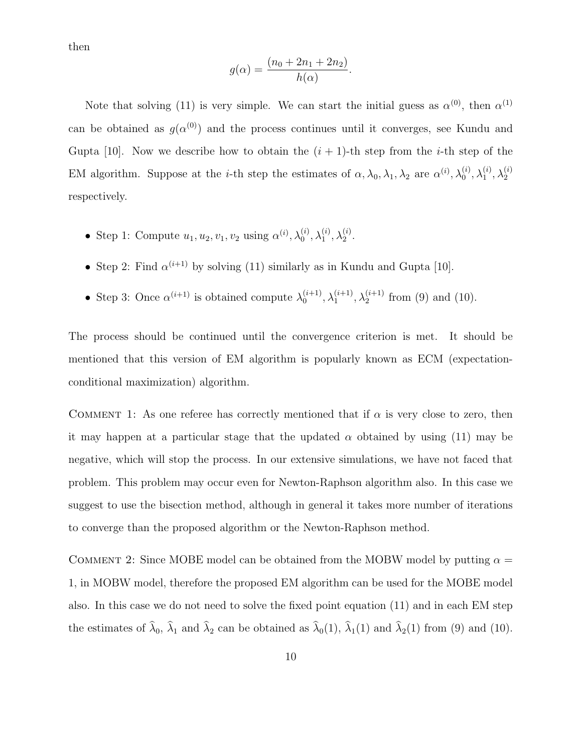then

$$
g(\alpha) = \frac{(n_0 + 2n_1 + 2n_2)}{h(\alpha)}.
$$

Note that solving (11) is very simple. We can start the initial guess as  $\alpha^{(0)}$ , then  $\alpha^{(1)}$ can be obtained as  $g(\alpha^{(0)})$  and the process continues until it converges, see Kundu and Gupta [10]. Now we describe how to obtain the  $(i + 1)$ -th step from the *i*-th step of the EM algorithm. Suppose at the *i*-th step the estimates of  $\alpha, \lambda_0, \lambda_1, \lambda_2$  are  $\alpha^{(i)}, \lambda_0^{(i)}$  $_0^{\left( i\right) },\lambda _1^{\left( i\right) }$  $\stackrel{(i)}{1}, \lambda_2^{(i)}$ 2 respectively.

- Step 1: Compute  $u_1, u_2, v_1, v_2$  using  $\alpha^{(i)}$ ,  $\lambda_0^{(i)}$  $_0^{\left( i\right) },\lambda _1^{\left( i\right) }$  $\stackrel{(i)}{1}, \lambda_2^{(i)}$  $\frac{1}{2}$ .
- Step 2: Find  $\alpha^{(i+1)}$  by solving (11) similarly as in Kundu and Gupta [10].
- Step 3: Once  $\alpha^{(i+1)}$  is obtained compute  $\lambda_0^{(i+1)}$  $\lambda_0^{(i+1)}, \lambda_1^{(i+1)}$  $\lambda_1^{(i+1)}, \lambda_2^{(i+1)}$  $2^{(i+1)}$  from (9) and (10).

The process should be continued until the convergence criterion is met. It should be mentioned that this version of EM algorithm is popularly known as ECM (expectationconditional maximization) algorithm.

COMMENT 1: As one referee has correctly mentioned that if  $\alpha$  is very close to zero, then it may happen at a particular stage that the updated  $\alpha$  obtained by using (11) may be negative, which will stop the process. In our extensive simulations, we have not faced that problem. This problem may occur even for Newton-Raphson algorithm also. In this case we suggest to use the bisection method, although in general it takes more number of iterations to converge than the proposed algorithm or the Newton-Raphson method.

COMMENT 2: Since MOBE model can be obtained from the MOBW model by putting  $\alpha =$ 1, in MOBW model, therefore the proposed EM algorithm can be used for the MOBE model also. In this case we do not need to solve the fixed point equation (11) and in each EM step the estimates of  $\lambda_0$ ,  $\lambda_1$  and  $\lambda_2$  can be obtained as  $\lambda_0(1)$ ,  $\lambda_1(1)$  and  $\lambda_2(1)$  from (9) and (10).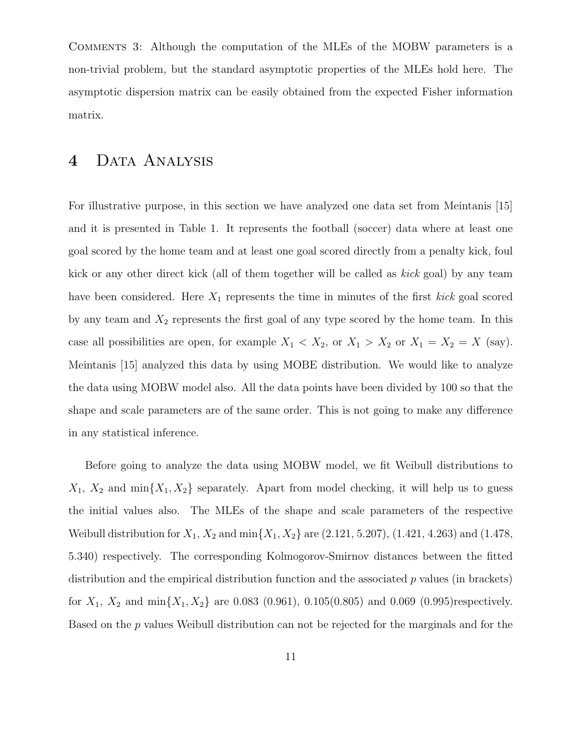Comments 3: Although the computation of the MLEs of the MOBW parameters is a non-trivial problem, but the standard asymptotic properties of the MLEs hold here. The asymptotic dispersion matrix can be easily obtained from the expected Fisher information matrix.

### 4 DATA ANALYSIS

For illustrative purpose, in this section we have analyzed one data set from Meintanis [15] and it is presented in Table 1. It represents the football (soccer) data where at least one goal scored by the home team and at least one goal scored directly from a penalty kick, foul kick or any other direct kick (all of them together will be called as kick goal) by any team have been considered. Here  $X_1$  represents the time in minutes of the first kick goal scored by any team and  $X_2$  represents the first goal of any type scored by the home team. In this case all possibilities are open, for example  $X_1 < X_2$ , or  $X_1 > X_2$  or  $X_1 = X_2 = X$  (say). Meintanis [15] analyzed this data by using MOBE distribution. We would like to analyze the data using MOBW model also. All the data points have been divided by 100 so that the shape and scale parameters are of the same order. This is not going to make any difference in any statistical inference.

Before going to analyze the data using MOBW model, we fit Weibull distributions to  $X_1, X_2$  and  $\min\{X_1, X_2\}$  separately. Apart from model checking, it will help us to guess the initial values also. The MLEs of the shape and scale parameters of the respective Weibull distribution for  $X_1, X_2$  and  $\min\{X_1, X_2\}$  are (2.121, 5.207), (1.421, 4.263) and (1.478, 5.340) respectively. The corresponding Kolmogorov-Smirnov distances between the fitted distribution and the empirical distribution function and the associated  $p$  values (in brackets) for  $X_1$ ,  $X_2$  and  $\min\{X_1, X_2\}$  are 0.083 (0.961), 0.105(0.805) and 0.069 (0.995)respectively. Based on the p values Weibull distribution can not be rejected for the marginals and for the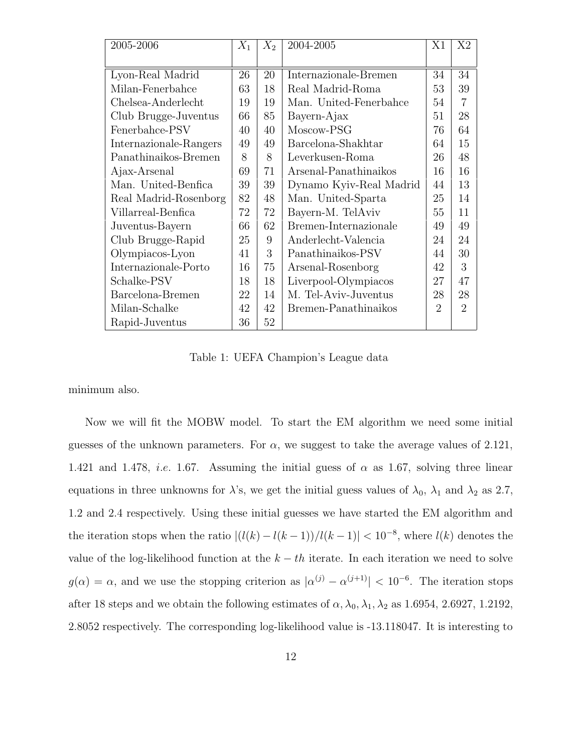| 2005-2006              | $X_1$                             | $X_2$ | 2004-2005               |                | X <sub>2</sub> |
|------------------------|-----------------------------------|-------|-------------------------|----------------|----------------|
|                        |                                   |       |                         |                |                |
| Lyon-Real Madrid       | 26                                | 20    | Internazionale-Bremen   | 34             | 34             |
| Milan-Fenerbahce       | 63                                | 18    | Real Madrid-Roma        | 53             | 39             |
| Chelsea-Anderlecht     | 19                                | 19    | Man. United-Fenerbahce  | 54             |                |
| Club Brugge-Juventus   | 66                                | 85    | Bayern-Ajax             | 51             | 28             |
| Fenerbahce-PSV         | 40                                | 40    | Moscow-PSG              | 76             | 64             |
| Internazionale-Rangers | 49                                | 49    | Barcelona-Shakhtar      | 64             | 15             |
| Panathinaikos-Bremen   | 8<br>8<br>Leverkusen-Roma         |       |                         | 26             | 48             |
| Ajax-Arsenal           | Arsenal-Panathinaikos<br>71<br>69 |       |                         | 16             | 16             |
| Man. United-Benfica    | 39                                | 39    | Dynamo Kyiv-Real Madrid | 44             | 13             |
| Real Madrid-Rosenborg  | 82                                | 48    | Man. United-Sparta      | 25             | 14             |
| Villarreal-Benfica     | 72                                | 72    | Bayern-M. TelAviv       | 55             | 11             |
| Juventus-Bayern        | 66                                | 62    | Bremen-Internazionale   | 49             | 49             |
| Club Brugge-Rapid      | 25                                | 9     | Anderlecht-Valencia     | 24             | 24             |
| Olympiacos-Lyon        | 41                                | 3     | Panathinaikos-PSV       | 44             | 30             |
| Internazionale-Porto   | 16                                | 75    | Arsenal-Rosenborg       | 42             | 3              |
| Schalke-PSV            | 18                                | 18    | Liverpool-Olympiacos    | 27             | 47             |
| Barcelona-Bremen       | 22                                | 14    | M. Tel-Aviv-Juventus    | 28             | 28             |
| Milan-Schalke          | 42                                | 42    | Bremen-Panathinaikos    | $\overline{2}$ | $\overline{2}$ |
| Rapid-Juventus         | 36                                | 52    |                         |                |                |

Table 1: UEFA Champion's League data

minimum also.

Now we will fit the MOBW model. To start the EM algorithm we need some initial guesses of the unknown parameters. For  $\alpha$ , we suggest to take the average values of 2.121, 1.421 and 1.478, *i.e.* 1.67. Assuming the initial guess of  $\alpha$  as 1.67, solving three linear equations in three unknowns for  $\lambda$ 's, we get the initial guess values of  $\lambda_0$ ,  $\lambda_1$  and  $\lambda_2$  as 2.7, 1.2 and 2.4 respectively. Using these initial guesses we have started the EM algorithm and the iteration stops when the ratio  $|(l(k) - l(k-1))/l(k-1)| < 10^{-8}$ , where  $l(k)$  denotes the value of the log-likelihood function at the  $k - th$  iterate. In each iteration we need to solve  $g(\alpha) = \alpha$ , and we use the stopping criterion as  $|\alpha^{(j)} - \alpha^{(j+1)}| < 10^{-6}$ . The iteration stops after 18 steps and we obtain the following estimates of  $\alpha$ ,  $\lambda_0$ ,  $\lambda_1$ ,  $\lambda_2$  as 1.6954, 2.6927, 1.2192, 2.8052 respectively. The corresponding log-likelihood value is -13.118047. It is interesting to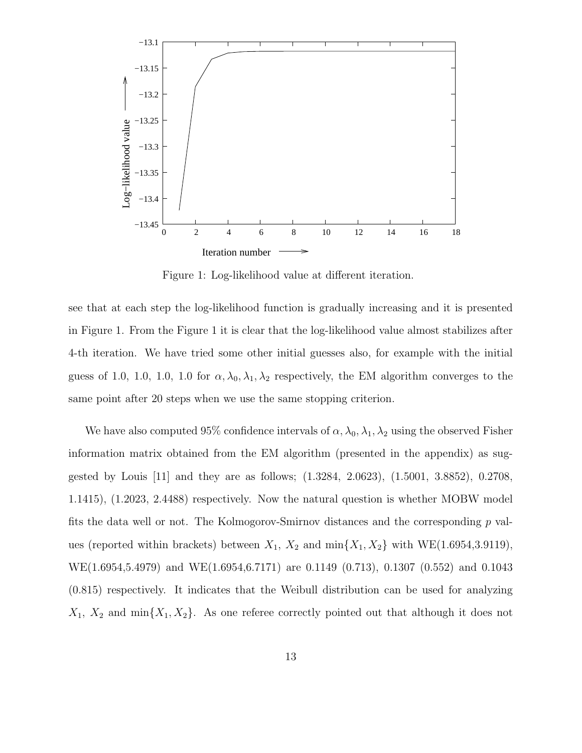

Figure 1: Log-likelihood value at different iteration.

see that at each step the log-likelihood function is gradually increasing and it is presented in Figure 1. From the Figure 1 it is clear that the log-likelihood value almost stabilizes after 4-th iteration. We have tried some other initial guesses also, for example with the initial guess of 1.0, 1.0, 1.0, 1.0 for  $\alpha$ ,  $\lambda_0$ ,  $\lambda_1$ ,  $\lambda_2$  respectively, the EM algorithm converges to the same point after 20 steps when we use the same stopping criterion.

We have also computed 95% confidence intervals of  $\alpha$ ,  $\lambda_0$ ,  $\lambda_1$ ,  $\lambda_2$  using the observed Fisher information matrix obtained from the EM algorithm (presented in the appendix) as suggested by Louis [11] and they are as follows; (1.3284, 2.0623), (1.5001, 3.8852), 0.2708, 1.1415), (1.2023, 2.4488) respectively. Now the natural question is whether MOBW model fits the data well or not. The Kolmogorov-Smirnov distances and the corresponding  $p$  values (reported within brackets) between  $X_1$ ,  $X_2$  and  $\min\{X_1, X_2\}$  with WE(1.6954,3.9119), WE(1.6954,5.4979) and WE(1.6954,6.7171) are 0.1149 (0.713), 0.1307 (0.552) and 0.1043 (0.815) respectively. It indicates that the Weibull distribution can be used for analyzing  $X_1, X_2$  and  $\min\{X_1, X_2\}$ . As one referee correctly pointed out that although it does not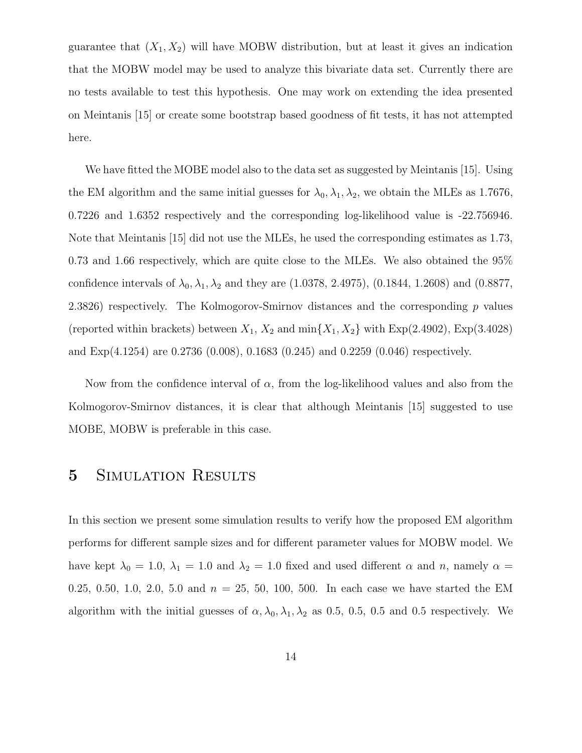guarantee that  $(X_1, X_2)$  will have MOBW distribution, but at least it gives an indication that the MOBW model may be used to analyze this bivariate data set. Currently there are no tests available to test this hypothesis. One may work on extending the idea presented on Meintanis [15] or create some bootstrap based goodness of fit tests, it has not attempted here.

We have fitted the MOBE model also to the data set as suggested by Meintanis [15]. Using the EM algorithm and the same initial guesses for  $\lambda_0, \lambda_1, \lambda_2$ , we obtain the MLEs as 1.7676, 0.7226 and 1.6352 respectively and the corresponding log-likelihood value is -22.756946. Note that Meintanis [15] did not use the MLEs, he used the corresponding estimates as 1.73, 0.73 and 1.66 respectively, which are quite close to the MLEs. We also obtained the 95% confidence intervals of  $\lambda_0, \lambda_1, \lambda_2$  and they are (1.0378, 2.4975), (0.1844, 1.2608) and (0.8877, 2.3826) respectively. The Kolmogorov-Smirnov distances and the corresponding  $p$  values (reported within brackets) between  $X_1, X_2$  and  $\min\{X_1, X_2\}$  with  $Exp(2.4902)$ ,  $Exp(3.4028)$ and Exp(4.1254) are 0.2736 (0.008), 0.1683 (0.245) and 0.2259 (0.046) respectively.

Now from the confidence interval of  $\alpha$ , from the log-likelihood values and also from the Kolmogorov-Smirnov distances, it is clear that although Meintanis [15] suggested to use MOBE, MOBW is preferable in this case.

### 5 SIMULATION RESULTS

In this section we present some simulation results to verify how the proposed EM algorithm performs for different sample sizes and for different parameter values for MOBW model. We have kept  $\lambda_0 = 1.0$ ,  $\lambda_1 = 1.0$  and  $\lambda_2 = 1.0$  fixed and used different  $\alpha$  and  $n$ , namely  $\alpha =$ 0.25, 0.50, 1.0, 2.0, 5.0 and  $n = 25$ , 50, 100, 500. In each case we have started the EM algorithm with the initial guesses of  $\alpha$ ,  $\lambda_0$ ,  $\lambda_1$ ,  $\lambda_2$  as 0.5, 0.5, 0.5 and 0.5 respectively. We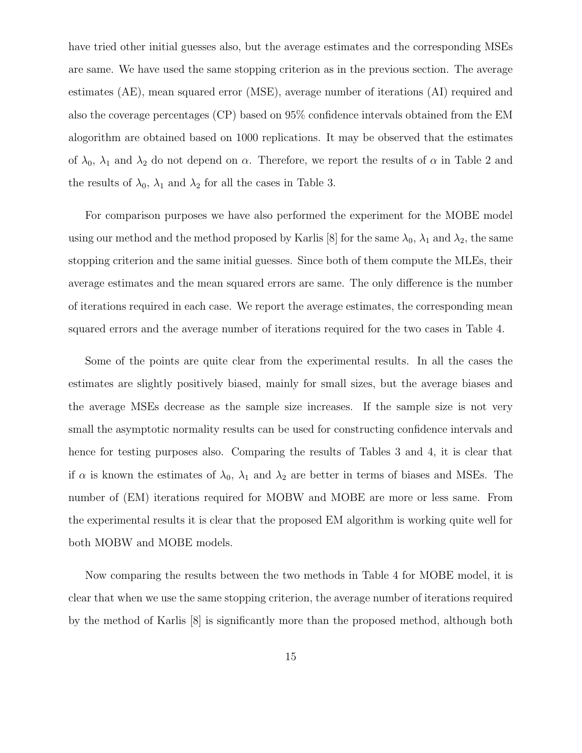have tried other initial guesses also, but the average estimates and the corresponding MSEs are same. We have used the same stopping criterion as in the previous section. The average estimates (AE), mean squared error (MSE), average number of iterations (AI) required and also the coverage percentages (CP) based on 95% confidence intervals obtained from the EM alogorithm are obtained based on 1000 replications. It may be observed that the estimates of  $\lambda_0$ ,  $\lambda_1$  and  $\lambda_2$  do not depend on  $\alpha$ . Therefore, we report the results of  $\alpha$  in Table 2 and the results of  $\lambda_0$ ,  $\lambda_1$  and  $\lambda_2$  for all the cases in Table 3.

For comparison purposes we have also performed the experiment for the MOBE model using our method and the method proposed by Karlis [8] for the same  $\lambda_0$ ,  $\lambda_1$  and  $\lambda_2$ , the same stopping criterion and the same initial guesses. Since both of them compute the MLEs, their average estimates and the mean squared errors are same. The only difference is the number of iterations required in each case. We report the average estimates, the corresponding mean squared errors and the average number of iterations required for the two cases in Table 4.

Some of the points are quite clear from the experimental results. In all the cases the estimates are slightly positively biased, mainly for small sizes, but the average biases and the average MSEs decrease as the sample size increases. If the sample size is not very small the asymptotic normality results can be used for constructing confidence intervals and hence for testing purposes also. Comparing the results of Tables 3 and 4, it is clear that if  $\alpha$  is known the estimates of  $\lambda_0$ ,  $\lambda_1$  and  $\lambda_2$  are better in terms of biases and MSEs. The number of (EM) iterations required for MOBW and MOBE are more or less same. From the experimental results it is clear that the proposed EM algorithm is working quite well for both MOBW and MOBE models.

Now comparing the results between the two methods in Table 4 for MOBE model, it is clear that when we use the same stopping criterion, the average number of iterations required by the method of Karlis [8] is significantly more than the proposed method, although both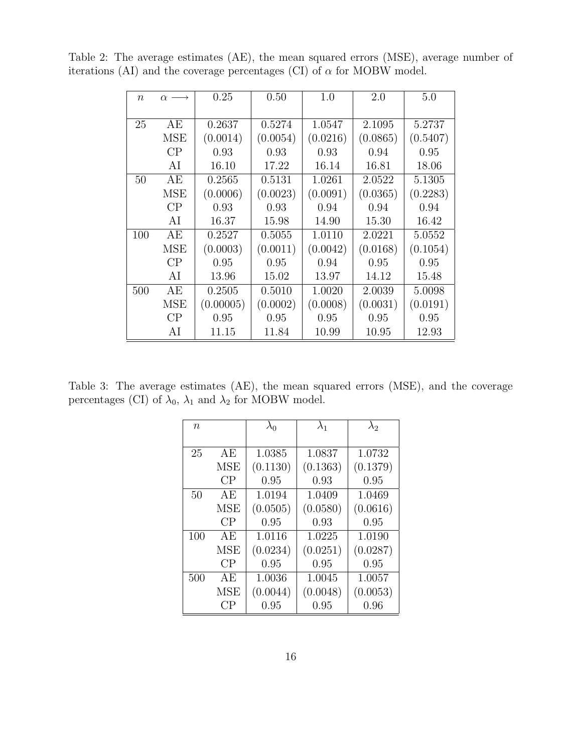| $\eta$ | $\alpha \longrightarrow$ | 0.25      | 0.50     | 1.0      | 2.0      | 5.0      |
|--------|--------------------------|-----------|----------|----------|----------|----------|
|        |                          |           |          |          |          |          |
| 25     | AE                       | 0.2637    | 0.5274   | 1.0547   | 2.1095   | 5.2737   |
|        | <b>MSE</b>               | (0.0014)  | (0.0054) | (0.0216) | (0.0865) | (0.5407) |
|        | CP                       | 0.93      | 0.93     | 0.93     | 0.94     | 0.95     |
|        | AI                       | 16.10     | 17.22    | 16.14    | 16.81    | 18.06    |
| 50     | AE                       | 0.2565    | 0.5131   | 1.0261   | 2.0522   | 5.1305   |
|        | <b>MSE</b>               | (0.0006)  | (0.0023) | (0.0091) | (0.0365) | (0.2283) |
|        | CP                       | 0.93      | 0.93     | 0.94     | 0.94     | 0.94     |
|        | AI                       | 16.37     | 15.98    | 14.90    | 15.30    | 16.42    |
| 100    | AE                       | 0.2527    | 0.5055   | 1.0110   | 2.0221   | 5.0552   |
|        | <b>MSE</b>               | (0.0003)  | (0.0011) | (0.0042) | (0.0168) | (0.1054) |
|        | CP                       | 0.95      | 0.95     | 0.94     | 0.95     | 0.95     |
|        | AI                       | 13.96     | 15.02    | 13.97    | 14.12    | 15.48    |
| 500    | АE                       | 0.2505    | 0.5010   | 1.0020   | 2.0039   | 5.0098   |
|        | <b>MSE</b>               | (0.00005) | (0.0002) | (0.0008) | (0.0031) | (0.0191) |
|        | CP                       | 0.95      | 0.95     | 0.95     | 0.95     | 0.95     |
|        | AI                       | 11.15     | 11.84    | 10.99    | 10.95    | 12.93    |

Table 2: The average estimates (AE), the mean squared errors (MSE), average number of iterations (AI) and the coverage percentages (CI) of  $\alpha$  for MOBW model.

Table 3: The average estimates (AE), the mean squared errors (MSE), and the coverage percentages (CI) of  $\lambda_0,\,\lambda_1$  and  $\lambda_2$  for MOBW model.

| $\eta$ |            | $\lambda_0$ | $\lambda_1$ | $\lambda_2$ |
|--------|------------|-------------|-------------|-------------|
|        |            |             |             |             |
| 25     | АE         | 1.0385      | 1.0837      | 1.0732      |
|        | MSE        | (0.1130)    | (0.1363)    | (0.1379)    |
|        | CP         | 0.95        | 0.93        | 0.95        |
| 50     | АE         | 1.0194      | 1.0409      | 1.0469      |
|        | <b>MSE</b> | (0.0505)    | (0.0580)    | (0.0616)    |
|        | CP         | 0.95        | 0.93        | 0.95        |
| 100    | АE         | 1.0116      | 1.0225      | 1.0190      |
|        | <b>MSE</b> | (0.0234)    | (0.0251)    | (0.0287)    |
|        | CP         | 0.95        | 0.95        | 0.95        |
| 500    | АE         | 1.0036      | 1.0045      | 1.0057      |
|        | <b>MSE</b> | (0.0044)    | (0.0048)    | (0.0053)    |
|        | СP         | 0.95        | 0.95        | 0.96        |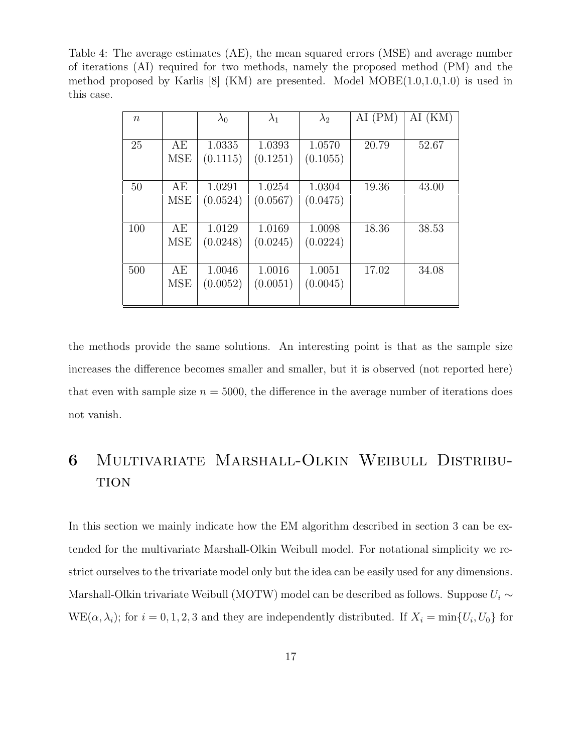Table 4: The average estimates (AE), the mean squared errors (MSE) and average number of iterations (AI) required for two methods, namely the proposed method (PM) and the method proposed by Karlis  $[8]$  (KM) are presented. Model MOBE $(1.0,1.0,1.0)$  is used in this case.

| $\,n$ |                  | $\lambda_0$        | $\lambda_1$        | $\lambda_2$        | (PM)<br>AI | (KM)<br>Al |
|-------|------------------|--------------------|--------------------|--------------------|------------|------------|
| 25    | АE<br><b>MSE</b> | 1.0335<br>(0.1115) | 1.0393<br>(0.1251) | 1.0570<br>(0.1055) | 20.79      | 52.67      |
| 50    | AE<br><b>MSE</b> | 1.0291<br>(0.0524) | 1.0254<br>(0.0567) | 1.0304<br>(0.0475) | 19.36      | 43.00      |
| 100   | АE<br><b>MSE</b> | 1.0129<br>(0.0248) | 1.0169<br>(0.0245) | 1.0098<br>(0.0224) | 18.36      | 38.53      |
| 500   | АE<br><b>MSE</b> | 1.0046<br>(0.0052) | 1.0016<br>(0.0051) | 1.0051<br>(0.0045) | 17.02      | 34.08      |

the methods provide the same solutions. An interesting point is that as the sample size increases the difference becomes smaller and smaller, but it is observed (not reported here) that even with sample size  $n = 5000$ , the difference in the average number of iterations does not vanish.

## 6 Multivariate Marshall-Olkin Weibull Distribu-**TION**

In this section we mainly indicate how the EM algorithm described in section 3 can be extended for the multivariate Marshall-Olkin Weibull model. For notational simplicity we restrict ourselves to the trivariate model only but the idea can be easily used for any dimensions. Marshall-Olkin trivariate Weibull (MOTW) model can be described as follows. Suppose  $U_i \sim$  $WE(\alpha, \lambda_i)$ ; for  $i = 0, 1, 2, 3$  and they are independently distributed. If  $X_i = \min\{U_i, U_0\}$  for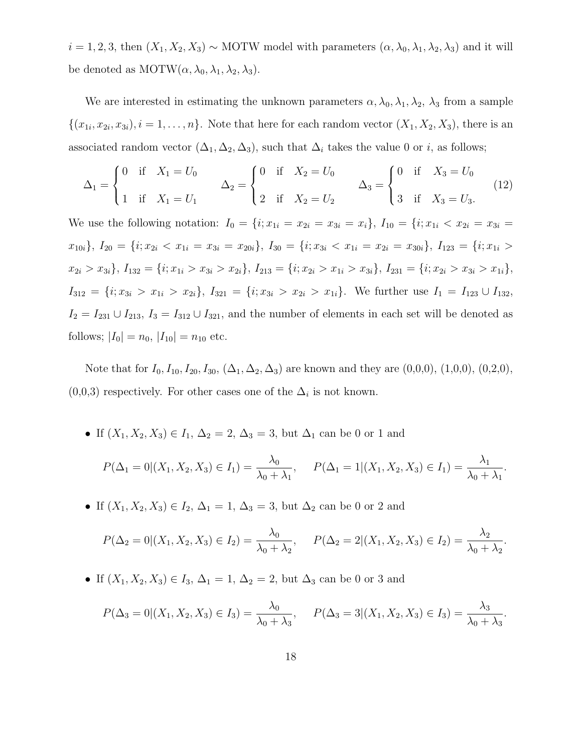$i = 1, 2, 3$ , then  $(X_1, X_2, X_3) \sim \text{MOTW}$  model with parameters  $(\alpha, \lambda_0, \lambda_1, \lambda_2, \lambda_3)$  and it will be denoted as  $MOTW(\alpha, \lambda_0, \lambda_1, \lambda_2, \lambda_3)$ .

We are interested in estimating the unknown parameters  $\alpha, \lambda_0, \lambda_1, \lambda_2, \lambda_3$  from a sample  $\{(x_{1i}, x_{2i}, x_{3i}), i = 1, \ldots, n\}$ . Note that here for each random vector  $(X_1, X_2, X_3)$ , there is an associated random vector  $(\Delta_1, \Delta_2, \Delta_3)$ , such that  $\Delta_i$  takes the value 0 or i, as follows;

$$
\Delta_1 = \begin{cases}\n0 & \text{if } X_1 = U_0 \\
1 & \text{if } X_1 = U_1\n\end{cases}\n\qquad\n\Delta_2 = \begin{cases}\n0 & \text{if } X_2 = U_0 \\
2 & \text{if } X_2 = U_2\n\end{cases}\n\qquad\n\Delta_3 = \begin{cases}\n0 & \text{if } X_3 = U_0 \\
3 & \text{if } X_3 = U_3\n\end{cases}
$$
\n(12)

We use the following notation:  $I_0 = \{i; x_{1i} = x_{2i} = x_{3i} = x_i\}, I_{10} = \{i; x_{1i} < x_{2i} = x_{3i} = x_{3i} = x_{3i} = x_{3i} = x_{3i} = x_{3i} = x_{3i} = x_{3i} = x_{3i} = x_{3i} = x_{3i} = x_{3i} = x_{3i} = x_{3i} = x_{3i} = x_{3i} = x_{3i} = x_{3i} = x_{3i} = x_{3i} = x_{3i} = x_{3i} = x_{3$  $x_{10i}$ ,  $I_{20} = \{i; x_{2i} < x_{1i} = x_{3i} = x_{20i}\},$   $I_{30} = \{i; x_{3i} < x_{1i} = x_{2i} = x_{30i}\},$   $I_{123} = \{i; x_{1i} > x_{1i}\}$  $x_{2i} > x_{3i}$ ,  $I_{132} = \{i; x_{1i} > x_{3i} > x_{2i}\}, I_{213} = \{i; x_{2i} > x_{1i} > x_{3i}\}, I_{231} = \{i; x_{2i} > x_{3i} > x_{1i}\},$  $I_{312} = \{i; x_{3i} > x_{1i} > x_{2i}\}, I_{321} = \{i; x_{3i} > x_{2i} > x_{1i}\}.$  We further use  $I_1 = I_{123} \cup I_{132}$ ,  $I_2 = I_{231} \cup I_{213}$ ,  $I_3 = I_{312} \cup I_{321}$ , and the number of elements in each set will be denoted as follows;  $|I_0| = n_0$ ,  $|I_{10}| = n_{10}$  etc.

Note that for  $I_0, I_{10}, I_{20}, I_{30}, (\Delta_1, \Delta_2, \Delta_3)$  are known and they are  $(0,0,0), (1,0,0), (0,2,0),$  $(0,0,3)$  respectively. For other cases one of the  $\Delta_i$  is not known.

• If  $(X_1, X_2, X_3) \in I_1$ ,  $\Delta_2 = 2$ ,  $\Delta_3 = 3$ , but  $\Delta_1$  can be 0 or 1 and

$$
P(\Delta_1 = 0 | (X_1, X_2, X_3) \in I_1) = \frac{\lambda_0}{\lambda_0 + \lambda_1}, \quad P(\Delta_1 = 1 | (X_1, X_2, X_3) \in I_1) = \frac{\lambda_1}{\lambda_0 + \lambda_1}.
$$

• If  $(X_1, X_2, X_3) \in I_2$ ,  $\Delta_1 = 1$ ,  $\Delta_3 = 3$ , but  $\Delta_2$  can be 0 or 2 and

$$
P(\Delta_2 = 0 | (X_1, X_2, X_3) \in I_2) = \frac{\lambda_0}{\lambda_0 + \lambda_2}, \qquad P(\Delta_2 = 2 | (X_1, X_2, X_3) \in I_2) = \frac{\lambda_2}{\lambda_0 + \lambda_2}.
$$

• If  $(X_1, X_2, X_3) \in I_3$ ,  $\Delta_1 = 1$ ,  $\Delta_2 = 2$ , but  $\Delta_3$  can be 0 or 3 and

$$
P(\Delta_3 = 0 | (X_1, X_2, X_3) \in I_3) = \frac{\lambda_0}{\lambda_0 + \lambda_3}, \quad P(\Delta_3 = 3 | (X_1, X_2, X_3) \in I_3) = \frac{\lambda_3}{\lambda_0 + \lambda_3}.
$$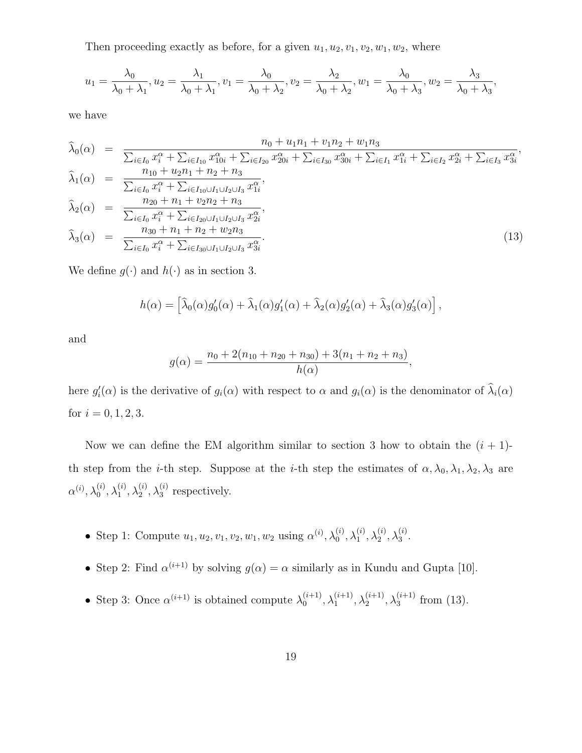Then proceeding exactly as before, for a given  $u_1, u_2, v_1, v_2, w_1, w_2$ , where

$$
u_1 = \frac{\lambda_0}{\lambda_0 + \lambda_1}, u_2 = \frac{\lambda_1}{\lambda_0 + \lambda_1}, v_1 = \frac{\lambda_0}{\lambda_0 + \lambda_2}, v_2 = \frac{\lambda_2}{\lambda_0 + \lambda_2}, w_1 = \frac{\lambda_0}{\lambda_0 + \lambda_3}, w_2 = \frac{\lambda_3}{\lambda_0 + \lambda_3}
$$

,

we have

$$
\hat{\lambda}_{0}(\alpha) = \frac{n_{0} + u_{1}n_{1} + v_{1}n_{2} + w_{1}n_{3}}{\sum_{i \in I_{0}} x_{i}^{\alpha} + \sum_{i \in I_{10}} x_{10i}^{\alpha} + \sum_{i \in I_{20}} x_{20i}^{\alpha} + \sum_{i \in I_{30}} x_{30i}^{\alpha} + \sum_{i \in I_{1}} x_{1i}^{\alpha} + \sum_{i \in I_{2}} x_{2i}^{\alpha} + \sum_{i \in I_{3}} x_{3i}^{\alpha}},
$$
\n
$$
\hat{\lambda}_{1}(\alpha) = \frac{n_{10} + u_{2}n_{1} + n_{2} + n_{3}}{\sum_{i \in I_{0}} x_{i}^{\alpha} + \sum_{i \in I_{10} \cup I_{1} \cup I_{2} \cup I_{3}} x_{1i}^{\alpha}},
$$
\n
$$
\hat{\lambda}_{2}(\alpha) = \frac{n_{20} + n_{1} + v_{2}n_{2} + n_{3}}{\sum_{i \in I_{0}} x_{i}^{\alpha} + \sum_{i \in I_{20} \cup I_{1} \cup I_{2} \cup I_{3}} x_{2i}^{\alpha}},
$$
\n
$$
\hat{\lambda}_{3}(\alpha) = \frac{n_{30} + n_{1} + n_{2} + w_{2}n_{3}}{\sum_{i \in I_{0}} x_{i}^{\alpha} + \sum_{i \in I_{30} \cup I_{1} \cup I_{2} \cup I_{3}} x_{3i}^{\alpha}}.
$$
\n(13)

We define  $g(\cdot)$  and  $h(\cdot)$  as in section 3.

$$
h(\alpha) = \left[\widehat{\lambda}_0(\alpha)g'_0(\alpha) + \widehat{\lambda}_1(\alpha)g'_1(\alpha) + \widehat{\lambda}_2(\alpha)g'_2(\alpha) + \widehat{\lambda}_3(\alpha)g'_3(\alpha)\right],
$$

and

$$
g(\alpha) = \frac{n_0 + 2(n_{10} + n_{20} + n_{30}) + 3(n_1 + n_2 + n_3)}{h(\alpha)},
$$

here  $g_i'(\alpha)$  is the derivative of  $g_i(\alpha)$  with respect to  $\alpha$  and  $g_i(\alpha)$  is the denominator of  $\hat{\lambda}_i(\alpha)$ for  $i = 0, 1, 2, 3$ .

Now we can define the EM algorithm similar to section 3 how to obtain the  $(i + 1)$ th step from the *i*-th step. Suppose at the *i*-th step the estimates of  $\alpha$ ,  $\lambda_0$ ,  $\lambda_1$ ,  $\lambda_2$ ,  $\lambda_3$  are  $\alpha^{(i)},\lambda_0^{(i)}$  $_0^{\left( i\right) },\lambda _1^{\left( i\right) }$  $\stackrel{(i)}{1}, \lambda_2^{(i)}$  $_2^{(i)}, \lambda_3^{(i)}$  $_3^{(i)}$  respectively.

- Step 1: Compute  $u_1, u_2, v_1, v_2, w_1, w_2$  using  $\alpha^{(i)}$ ,  $\lambda_0^{(i)}$  $_0^{\left( i\right) },\lambda _1^{\left( i\right) }$  $\stackrel{(i)}{1}, \lambda_2^{(i)}$  $_2^{(i)}, \lambda_3^{(i)}$  $\frac{1}{3}$ .
- Step 2: Find  $\alpha^{(i+1)}$  by solving  $g(\alpha) = \alpha$  similarly as in Kundu and Gupta [10].
- Step 3: Once  $\alpha^{(i+1)}$  is obtained compute  $\lambda_0^{(i+1)}$  $\lambda_0^{(i+1)}, \lambda_1^{(i+1)}$  $\lambda_1^{(i+1)}, \lambda_2^{(i+1)}$  $\lambda_2^{(i+1)}, \lambda_3^{(i+1)}$  $_3^{(i+1)}$  from (13).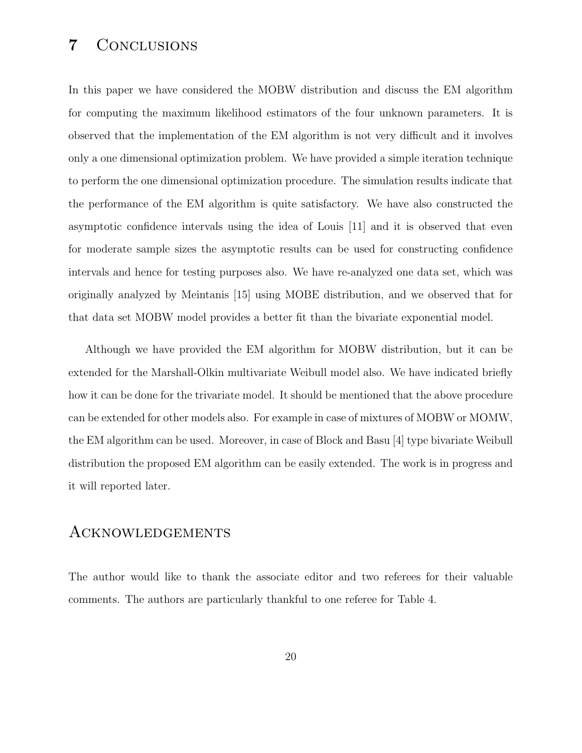### 7 Conclusions

In this paper we have considered the MOBW distribution and discuss the EM algorithm for computing the maximum likelihood estimators of the four unknown parameters. It is observed that the implementation of the EM algorithm is not very difficult and it involves only a one dimensional optimization problem. We have provided a simple iteration technique to perform the one dimensional optimization procedure. The simulation results indicate that the performance of the EM algorithm is quite satisfactory. We have also constructed the asymptotic confidence intervals using the idea of Louis [11] and it is observed that even for moderate sample sizes the asymptotic results can be used for constructing confidence intervals and hence for testing purposes also. We have re-analyzed one data set, which was originally analyzed by Meintanis [15] using MOBE distribution, and we observed that for that data set MOBW model provides a better fit than the bivariate exponential model.

Although we have provided the EM algorithm for MOBW distribution, but it can be extended for the Marshall-Olkin multivariate Weibull model also. We have indicated briefly how it can be done for the trivariate model. It should be mentioned that the above procedure can be extended for other models also. For example in case of mixtures of MOBW or MOMW, the EM algorithm can be used. Moreover, in case of Block and Basu [4] type bivariate Weibull distribution the proposed EM algorithm can be easily extended. The work is in progress and it will reported later.

#### Acknowledgements

The author would like to thank the associate editor and two referees for their valuable comments. The authors are particularly thankful to one referee for Table 4.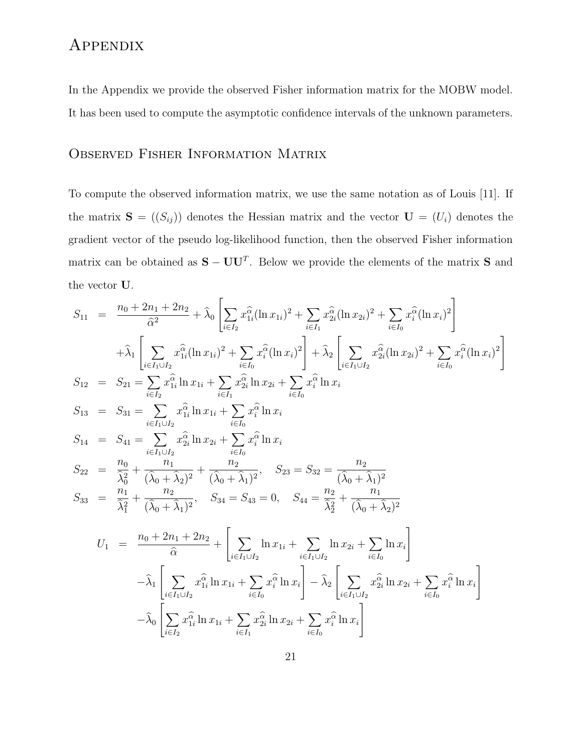## Appendix

In the Appendix we provide the observed Fisher information matrix for the MOBW model. It has been used to compute the asymptotic confidence intervals of the unknown parameters.

#### Observed Fisher Information Matrix

To compute the observed information matrix, we use the same notation as of Louis [11]. If the matrix  $S = ((S_{ij}))$  denotes the Hessian matrix and the vector  $U = (U_i)$  denotes the gradient vector of the pseudo log-likelihood function, then the observed Fisher information matrix can be obtained as  $S - U U^T$ . Below we provide the elements of the matrix S and the vector U.

$$
S_{11} = \frac{n_0 + 2n_1 + 2n_2}{\hat{\alpha}^2} + \hat{\lambda}_0 \left[ \sum_{i \in I_2} x_{1i}^{\hat{\alpha}} (\ln x_{1i})^2 + \sum_{i \in I_1} x_{2i}^{\hat{\alpha}} (\ln x_{2i})^2 + \sum_{i \in I_0} x_{i}^{\hat{\alpha}} (\ln x_i)^2 \right]
$$
  
\n
$$
+ \hat{\lambda}_1 \left[ \sum_{i \in I_1 \cup I_2} x_{1i}^{\hat{\alpha}} (\ln x_{1i})^2 + \sum_{i \in I_0} x_{i}^{\hat{\alpha}} (\ln x_i)^2 \right] + \hat{\lambda}_2 \left[ \sum_{i \in I_1 \cup I_2} x_{2i}^{\hat{\alpha}} (\ln x_{2i})^2 + \sum_{i \in I_0} x_{i}^{\hat{\alpha}} (\ln x_i)^2 \right]
$$
  
\n
$$
S_{12} = S_{21} = \sum_{i \in I_2} x_{1i}^{\hat{\alpha}} \ln x_{1i} + \sum_{i \in I_0} x_{2i}^{\hat{\alpha}} \ln x_{2i} + \sum_{i \in I_0} x_{i}^{\hat{\alpha}} \ln x_{i}
$$
  
\n
$$
S_{13} = S_{31} = \sum_{i \in I_1 \cup I_2} x_{1i}^{\hat{\alpha}} \ln x_{1i} + \sum_{i \in I_0} x_{i}^{\hat{\alpha}} \ln x_{i}
$$
  
\n
$$
S_{14} = S_{41} = \sum_{i \in I_1 \cup I_2} x_{2i}^{\hat{\alpha}} \ln x_{2i} + \sum_{i \in I_0} x_{i}^{\hat{\alpha}} \ln x_{i}
$$
  
\n
$$
S_{22} = \frac{n_0}{\hat{\lambda}_0} + \frac{n_1}{(\hat{\lambda}_0 + \hat{\lambda}_2)^2} + \frac{n_2}{(\hat{\lambda}_0 + \hat{\lambda}_1)^2}, \quad S_{23} = S_{32} = \frac{n_2}{(\hat{\lambda}_0 + \hat{\lambda}_1)^2}
$$
  
\n
$$
S_{33} = \frac{n_1}{\hat{\lambda}_1} + \frac{n_2}{(\hat{\lambda}_0 + \hat{\lambda}_1)^2}, \quad S_{34} = S_{43} = 0, \quad S_{44} = \frac
$$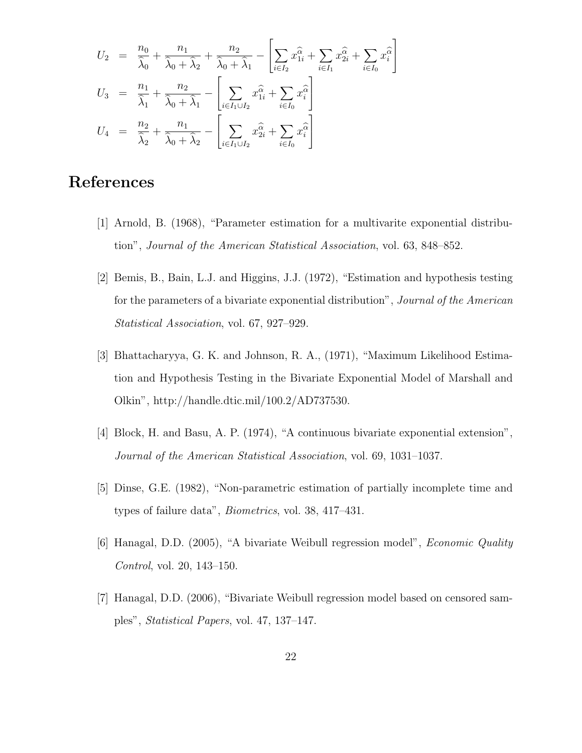$$
U_2 = \frac{n_0}{\hat{\lambda}_0} + \frac{n_1}{\hat{\lambda}_0 + \hat{\lambda}_2} + \frac{n_2}{\hat{\lambda}_0 + \hat{\lambda}_1} - \left[\sum_{i \in I_2} x_{1i}^{\hat{\alpha}} + \sum_{i \in I_1} x_{2i}^{\hat{\alpha}} + \sum_{i \in I_0} x_i^{\hat{\alpha}}\right]
$$
  
\n
$$
U_3 = \frac{n_1}{\hat{\lambda}_1} + \frac{n_2}{\hat{\lambda}_0 + \hat{\lambda}_1} - \left[\sum_{i \in I_1 \cup I_2} x_{1i}^{\hat{\alpha}} + \sum_{i \in I_0} x_i^{\hat{\alpha}}\right]
$$
  
\n
$$
U_4 = \frac{n_2}{\hat{\lambda}_2} + \frac{n_1}{\hat{\lambda}_0 + \hat{\lambda}_2} - \left[\sum_{i \in I_1 \cup I_2} x_{2i}^{\hat{\alpha}} + \sum_{i \in I_0} x_i^{\hat{\alpha}}\right]
$$

### References

- [1] Arnold, B. (1968), "Parameter estimation for a multivarite exponential distribution", Journal of the American Statistical Association, vol. 63, 848–852.
- [2] Bemis, B., Bain, L.J. and Higgins, J.J. (1972), "Estimation and hypothesis testing for the parameters of a bivariate exponential distribution", Journal of the American Statistical Association, vol. 67, 927–929.
- [3] Bhattacharyya, G. K. and Johnson, R. A., (1971), "Maximum Likelihood Estimation and Hypothesis Testing in the Bivariate Exponential Model of Marshall and Olkin", http://handle.dtic.mil/100.2/AD737530.
- [4] Block, H. and Basu, A. P. (1974), "A continuous bivariate exponential extension", Journal of the American Statistical Association, vol. 69, 1031–1037.
- [5] Dinse, G.E. (1982), "Non-parametric estimation of partially incomplete time and types of failure data", Biometrics, vol. 38, 417–431.
- [6] Hanagal, D.D. (2005), "A bivariate Weibull regression model", Economic Quality Control, vol. 20, 143–150.
- [7] Hanagal, D.D. (2006), "Bivariate Weibull regression model based on censored samples", Statistical Papers, vol. 47, 137–147.